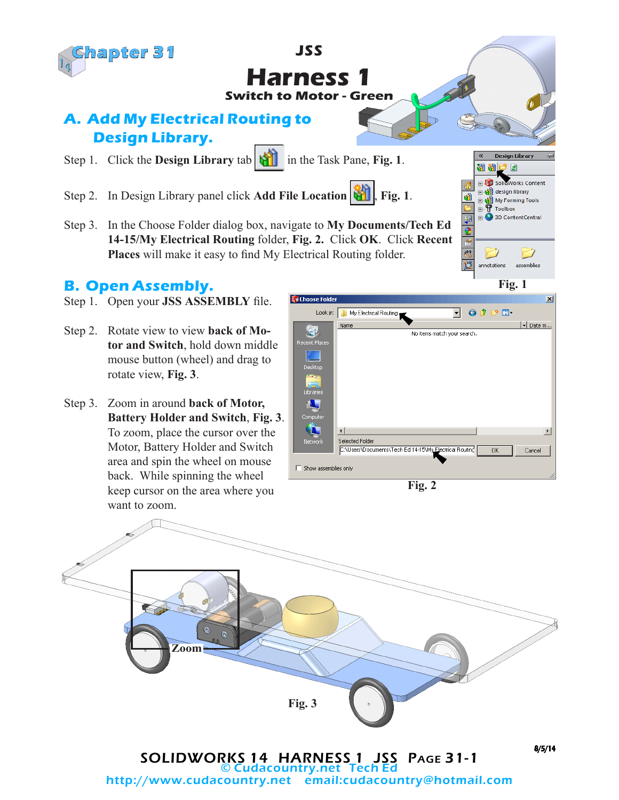

# **Harness 1 Switch to Motor - Green**

**JSS**

**SW Choose Fold** 

## **A. Add My Electrical Routing to Design Library.**

- Step 1. Click the **Design Library** tab in the Task Pane, **Fig. 1**.
- Step 2. In Design Library panel click **Add File Location Fig. 1.**
- Step 3. In the Choose Folder dialog box, navigate to **My Documents/Tech Ed 14-15/My Electrical Routing** folder, **Fig. 2.** Click **OK**. Click **Recent Places** will make it easy to find My Electrical Routing folder.

### **B. Open Assembly.**

- Step 1. Open your **JSS ASSEMBLY** file.
- Step 2. Rotate view to view **back of Motor and Switch**, hold down middle mouse button (wheel) and drag to rotate view, **Fig. 3**.
- Step 3. Zoom in around **back of Motor, Battery Holder and Switch**, **Fig. 3**. To zoom, place the cursor over the Motor, Battery Holder and Switch area and spin the wheel on mouse back. While spinning the wheel keep cursor on the area where you want to zoom.



**Fig. 1**

assemblies

 $x<sub>1</sub>$ 

**Design Library** ø .<br>Works Content design library

My Forming Tools

3D ContentCentral

١Ù

F ē  $\frac{1}{2}$ **M**  ໝ Toolbox

annotations

÷





SOLIDWORKS 14 HARNESS 1 JSS PAGE 31-1 Cudacountry.net http://www.cudacountry.net email:cudacountry@hotmail.com 8/5/14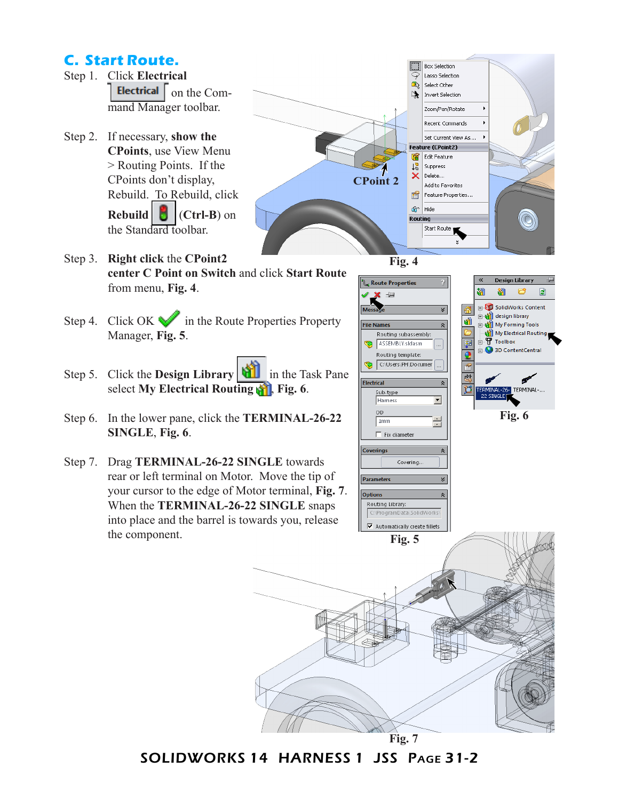### **C. Start Route.**

- Step 1. Click **Electrical**  Electrical on the Command Manager toolbar.
- Step 2. If necessary, **show the CPoints**, use View Menu > Routing Points. If the CPoints don't display, Rebuild. To Rebuild, click **Rebuild** (**Ctrl-B**) on the Standard toolbar.



- Step 3. **Right click** the **CPoint2 center C Point on Switch** and click **Start Route** from menu, **Fig. 4**.
- Step 4. Click OK in the Route Properties Property Manager, **Fig. 5**.
- Step 5. Click the **Design Library in** the Task Pane select **My Electrical Routing <b>AT**, Fig. 6.
- Step 6. In the lower pane, click the **TERMINAL-26-22 SINGLE**, **Fig. 6**.
- Step 7. Drag **TERMINAL-26-22 SINGLE** towards rear or left terminal on Motor. Move the tip of your cursor to the edge of Motor terminal, **Fig. 7**. When the **TERMINAL-26-22 SINGLE** snaps into place and the barrel is towards you, release the component.



**Fig. 7**

SOLIDWORKS 14 HARNESS 1 JSS Page 31-2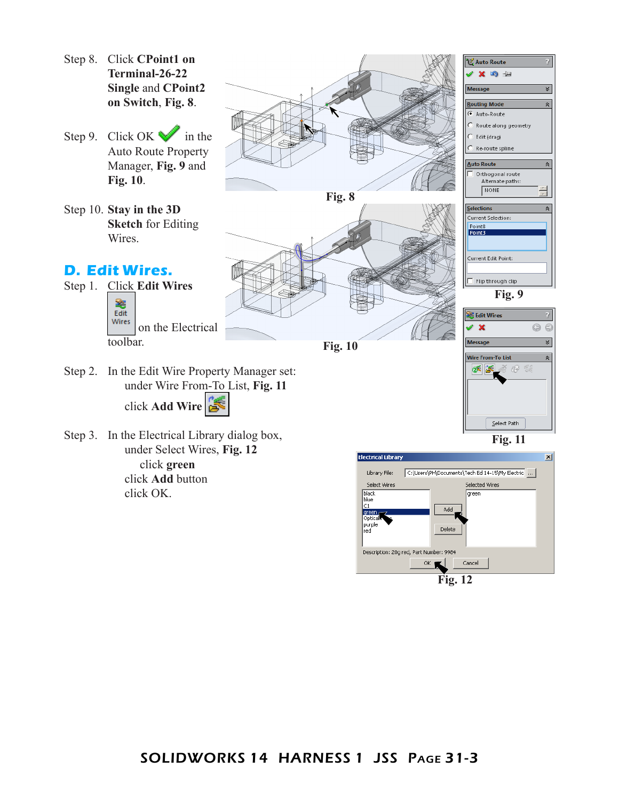- Step 8. Click **CPoint1 on Terminal-26-22 Single** and **CPoint2 on Switch**, **Fig. 8**.
- Step 9. Click OK in the Auto Route Property Manager, **Fig. 9** and **Fig. 10**.
- Step 10. **Stay in the 3D Sketch** for Editing Wires.

## **D. Edit Wires.**

Step 1. Click **Edit Wires**  窭 Edit Wires on the Electrical toolbar.





**Fig. 10**

**Fig. 9** Edit Wires  $\overline{2}$ Q  $\odot$ **Message** ≪ Wire From-To List  $\hat{\mathbf{z}}$  $\propto$   $\propto$ ≧ 69 ‰  $Setect Path$ **Fig. 11**

Current Selection: Point<sub>8</sub><br>Point3

Current Edit Point:

 $\Box$  Flip through clip

«

 $\boldsymbol{v}$ 

 $\hat{z}$ 

 $\hat{\mathbf{z}}$ 

under Wire From-To List, **Fig. 11** click **Add Wire**

Step 2. In the Edit Wire Property Manager set:

Step 3. In the Electrical Library dialog box, under Select Wires, **Fig. 12** click **green** click **Add** button click OK.